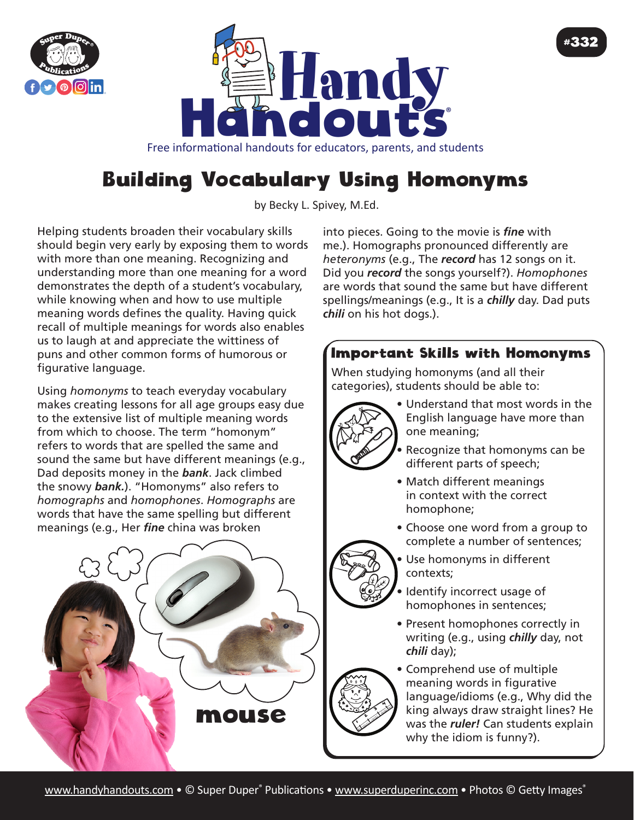



Free informational handouts for educators, parents, and students

## Building Vocabulary Using Homonyms

by Becky L. Spivey, M.Ed.

Helping students broaden their vocabulary skills should begin very early by exposing them to words with more than one meaning. Recognizing and understanding more than one meaning for a word demonstrates the depth of a student's vocabulary, while knowing when and how to use multiple meaning words defines the quality. Having quick recall of multiple meanings for words also enables us to laugh at and appreciate the wittiness of puns and other common forms of humorous or figurative language.

Using *homonyms* to teach everyday vocabulary makes creating lessons for all age groups easy due to the extensive list of multiple meaning words from which to choose. The term "homonym" refers to words that are spelled the same and sound the same but have different meanings (e.g., Dad deposits money in the *bank*. Jack climbed the snowy *bank.*). "Homonyms" also refers to *homographs* and *homophones*. *Homographs* are words that have the same spelling but different meanings (e.g., Her *fine* china was broken



into pieces. Going to the movie is *fine* with me.). Homographs pronounced differently are *heteronyms* (e.g., The *record* has 12 songs on it. Did you *record* the songs yourself?). *Homophones* are words that sound the same but have different spellings/meanings (e.g., It is a *chilly* day. Dad puts *chili* on his hot dogs.).

## Important Skills with Homonyms

When studying homonyms (and all their categories), students should be able to:



• Understand that most words in the English language have more than one meaning;

#332

- Recognize that homonyms can be different parts of speech;
- Match different meanings in context with the correct homophone;
- Choose one word from a group to complete a number of sentences;
- Use homonyms in different
	- contexts;
	- Identify incorrect usage of homophones in sentences;
	- Present homophones correctly in writing (e.g., using *chilly* day, not *chili* day);



• Comprehend use of multiple meaning words in figurative language/idioms (e.g., Why did the king always draw straight lines? He was the *ruler!* Can students explain why the idiom is funny?).